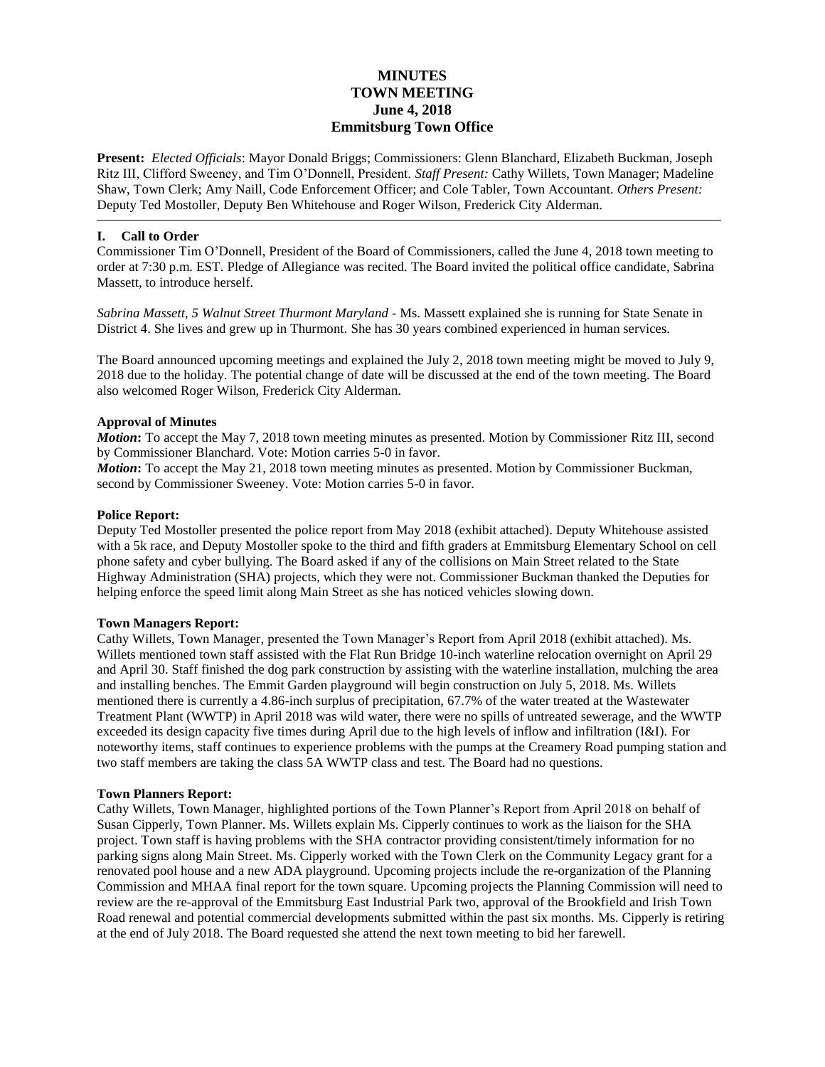# **MINUTES TOWN MEETING June 4, 2018 Emmitsburg Town Office**

**Present:** *Elected Officials*: Mayor Donald Briggs; Commissioners: Glenn Blanchard, Elizabeth Buckman, Joseph Ritz III, Clifford Sweeney, and Tim O'Donnell, President. *Staff Present:* Cathy Willets, Town Manager; Madeline Shaw, Town Clerk; Amy Naill, Code Enforcement Officer; and Cole Tabler, Town Accountant. *Others Present:* Deputy Ted Mostoller, Deputy Ben Whitehouse and Roger Wilson, Frederick City Alderman.

## **I. Call to Order**

Commissioner Tim O'Donnell, President of the Board of Commissioners, called the June 4, 2018 town meeting to order at 7:30 p.m. EST. Pledge of Allegiance was recited. The Board invited the political office candidate, Sabrina Massett, to introduce herself.

*Sabrina Massett, 5 Walnut Street Thurmont Maryland -* Ms. Massett explained she is running for State Senate in District 4. She lives and grew up in Thurmont. She has 30 years combined experienced in human services.

The Board announced upcoming meetings and explained the July 2, 2018 town meeting might be moved to July 9, 2018 due to the holiday. The potential change of date will be discussed at the end of the town meeting. The Board also welcomed Roger Wilson, Frederick City Alderman.

## **Approval of Minutes**

*Motion*: To accept the May 7, 2018 town meeting minutes as presented. Motion by Commissioner Ritz III, second by Commissioner Blanchard. Vote: Motion carries 5-0 in favor.

*Motion*: To accept the May 21, 2018 town meeting minutes as presented. Motion by Commissioner Buckman, second by Commissioner Sweeney. Vote: Motion carries 5-0 in favor.

### **Police Report:**

Deputy Ted Mostoller presented the police report from May 2018 (exhibit attached). Deputy Whitehouse assisted with a 5k race, and Deputy Mostoller spoke to the third and fifth graders at Emmitsburg Elementary School on cell phone safety and cyber bullying. The Board asked if any of the collisions on Main Street related to the State Highway Administration (SHA) projects, which they were not. Commissioner Buckman thanked the Deputies for helping enforce the speed limit along Main Street as she has noticed vehicles slowing down.

### **Town Managers Report:**

Cathy Willets, Town Manager, presented the Town Manager's Report from April 2018 (exhibit attached). Ms. Willets mentioned town staff assisted with the Flat Run Bridge 10-inch waterline relocation overnight on April 29 and April 30. Staff finished the dog park construction by assisting with the waterline installation, mulching the area and installing benches. The Emmit Garden playground will begin construction on July 5, 2018. Ms. Willets mentioned there is currently a 4.86-inch surplus of precipitation, 67.7% of the water treated at the Wastewater Treatment Plant (WWTP) in April 2018 was wild water, there were no spills of untreated sewerage, and the WWTP exceeded its design capacity five times during April due to the high levels of inflow and infiltration (I&I). For noteworthy items, staff continues to experience problems with the pumps at the Creamery Road pumping station and two staff members are taking the class 5A WWTP class and test. The Board had no questions.

### **Town Planners Report:**

Cathy Willets, Town Manager, highlighted portions of the Town Planner's Report from April 2018 on behalf of Susan Cipperly, Town Planner. Ms. Willets explain Ms. Cipperly continues to work as the liaison for the SHA project. Town staff is having problems with the SHA contractor providing consistent/timely information for no parking signs along Main Street. Ms. Cipperly worked with the Town Clerk on the Community Legacy grant for a renovated pool house and a new ADA playground. Upcoming projects include the re-organization of the Planning Commission and MHAA final report for the town square. Upcoming projects the Planning Commission will need to review are the re-approval of the Emmitsburg East Industrial Park two, approval of the Brookfield and Irish Town Road renewal and potential commercial developments submitted within the past six months. Ms. Cipperly is retiring at the end of July 2018. The Board requested she attend the next town meeting to bid her farewell.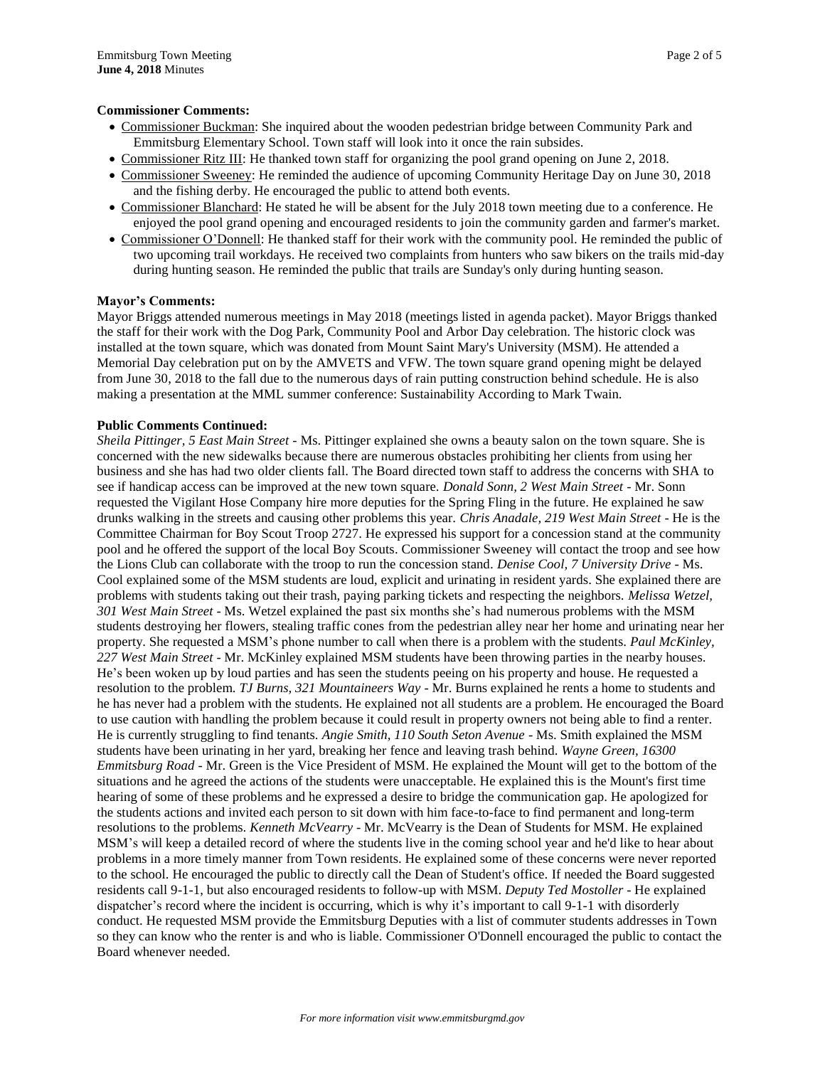### **Commissioner Comments:**

- Commissioner Buckman: She inquired about the wooden pedestrian bridge between Community Park and Emmitsburg Elementary School. Town staff will look into it once the rain subsides.
- Commissioner Ritz III: He thanked town staff for organizing the pool grand opening on June 2, 2018.
- Commissioner Sweeney: He reminded the audience of upcoming Community Heritage Day on June 30, 2018 and the fishing derby. He encouraged the public to attend both events.
- Commissioner Blanchard: He stated he will be absent for the July 2018 town meeting due to a conference. He enjoyed the pool grand opening and encouraged residents to join the community garden and farmer's market.
- Commissioner O'Donnell: He thanked staff for their work with the community pool. He reminded the public of two upcoming trail workdays. He received two complaints from hunters who saw bikers on the trails mid-day during hunting season. He reminded the public that trails are Sunday's only during hunting season.

### **Mayor's Comments:**

Mayor Briggs attended numerous meetings in May 2018 (meetings listed in agenda packet). Mayor Briggs thanked the staff for their work with the Dog Park, Community Pool and Arbor Day celebration. The historic clock was installed at the town square, which was donated from Mount Saint Mary's University (MSM). He attended a Memorial Day celebration put on by the AMVETS and VFW. The town square grand opening might be delayed from June 30, 2018 to the fall due to the numerous days of rain putting construction behind schedule. He is also making a presentation at the MML summer conference: Sustainability According to Mark Twain.

### **Public Comments Continued:**

*Sheila Pittinger, 5 East Main Street -* Ms. Pittinger explained she owns a beauty salon on the town square. She is concerned with the new sidewalks because there are numerous obstacles prohibiting her clients from using her business and she has had two older clients fall. The Board directed town staff to address the concerns with SHA to see if handicap access can be improved at the new town square. *Donald Sonn, 2 West Main Street -* Mr. Sonn requested the Vigilant Hose Company hire more deputies for the Spring Fling in the future. He explained he saw drunks walking in the streets and causing other problems this year. *Chris Anadale, 219 West Main Street* - He is the Committee Chairman for Boy Scout Troop 2727. He expressed his support for a concession stand at the community pool and he offered the support of the local Boy Scouts. Commissioner Sweeney will contact the troop and see how the Lions Club can collaborate with the troop to run the concession stand. *Denise Cool, 7 University Drive -* Ms. Cool explained some of the MSM students are loud, explicit and urinating in resident yards. She explained there are problems with students taking out their trash, paying parking tickets and respecting the neighbors. *Melissa Wetzel, 301 West Main Street* - Ms. Wetzel explained the past six months she's had numerous problems with the MSM students destroying her flowers, stealing traffic cones from the pedestrian alley near her home and urinating near her property. She requested a MSM's phone number to call when there is a problem with the students. *Paul McKinley, 227 West Main Street* - Mr. McKinley explained MSM students have been throwing parties in the nearby houses. He's been woken up by loud parties and has seen the students peeing on his property and house. He requested a resolution to the problem. *TJ Burns, 321 Mountaineers Way* - Mr. Burns explained he rents a home to students and he has never had a problem with the students. He explained not all students are a problem. He encouraged the Board to use caution with handling the problem because it could result in property owners not being able to find a renter. He is currently struggling to find tenants. *Angie Smith, 110 South Seton Avenue* - Ms. Smith explained the MSM students have been urinating in her yard, breaking her fence and leaving trash behind. *Wayne Green, 16300 Emmitsburg Road* - Mr. Green is the Vice President of MSM. He explained the Mount will get to the bottom of the situations and he agreed the actions of the students were unacceptable. He explained this is the Mount's first time hearing of some of these problems and he expressed a desire to bridge the communication gap. He apologized for the students actions and invited each person to sit down with him face-to-face to find permanent and long-term resolutions to the problems. *Kenneth McVearry* - Mr. McVearry is the Dean of Students for MSM. He explained MSM's will keep a detailed record of where the students live in the coming school year and he'd like to hear about problems in a more timely manner from Town residents. He explained some of these concerns were never reported to the school. He encouraged the public to directly call the Dean of Student's office. If needed the Board suggested residents call 9-1-1, but also encouraged residents to follow-up with MSM. *Deputy Ted Mostoller* - He explained dispatcher's record where the incident is occurring, which is why it's important to call 9-1-1 with disorderly conduct. He requested MSM provide the Emmitsburg Deputies with a list of commuter students addresses in Town so they can know who the renter is and who is liable. Commissioner O'Donnell encouraged the public to contact the Board whenever needed.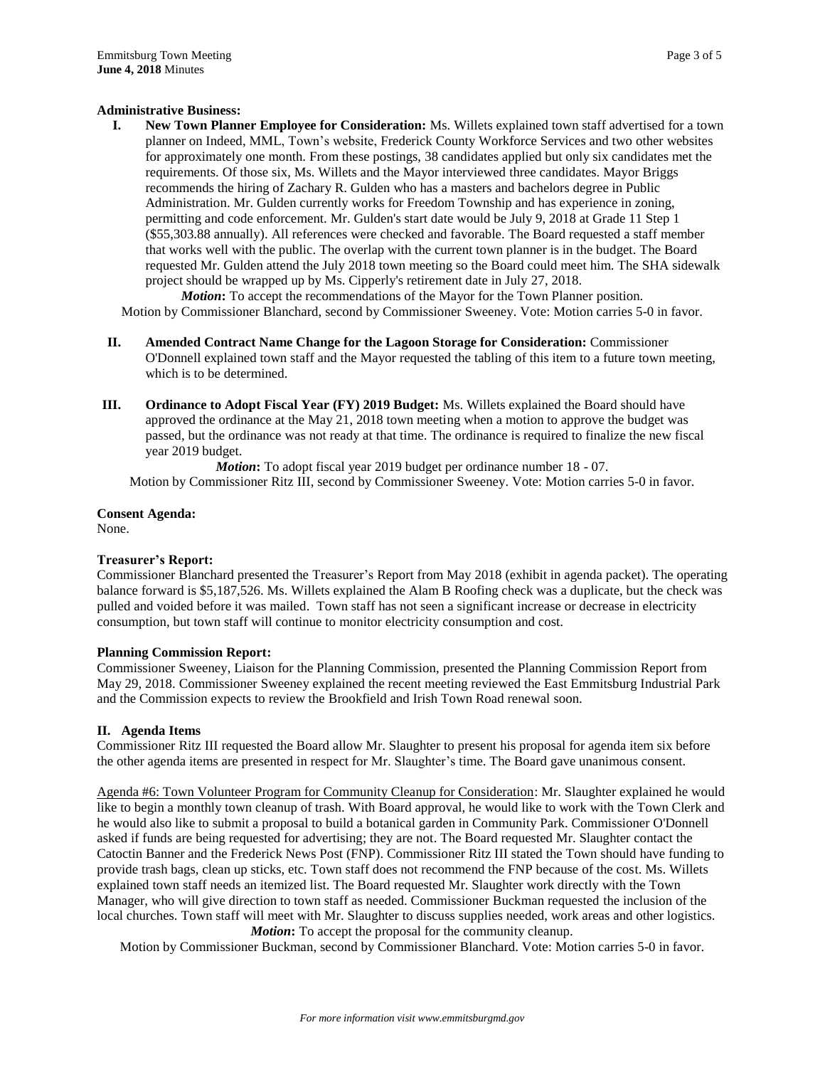## **Administrative Business:**

**I. New Town Planner Employee for Consideration:** Ms. Willets explained town staff advertised for a town planner on Indeed, MML, Town's website, Frederick County Workforce Services and two other websites for approximately one month. From these postings, 38 candidates applied but only six candidates met the requirements. Of those six, Ms. Willets and the Mayor interviewed three candidates. Mayor Briggs recommends the hiring of Zachary R. Gulden who has a masters and bachelors degree in Public Administration. Mr. Gulden currently works for Freedom Township and has experience in zoning, permitting and code enforcement. Mr. Gulden's start date would be July 9, 2018 at Grade 11 Step 1 (\$55,303.88 annually). All references were checked and favorable. The Board requested a staff member that works well with the public. The overlap with the current town planner is in the budget. The Board requested Mr. Gulden attend the July 2018 town meeting so the Board could meet him. The SHA sidewalk project should be wrapped up by Ms. Cipperly's retirement date in July 27, 2018.

*Motion*: To accept the recommendations of the Mayor for the Town Planner position. Motion by Commissioner Blanchard, second by Commissioner Sweeney. Vote: Motion carries 5-0 in favor.

- **II. Amended Contract Name Change for the Lagoon Storage for Consideration:** Commissioner O'Donnell explained town staff and the Mayor requested the tabling of this item to a future town meeting, which is to be determined.
- **III. Ordinance to Adopt Fiscal Year (FY) 2019 Budget:** Ms. Willets explained the Board should have approved the ordinance at the May 21, 2018 town meeting when a motion to approve the budget was passed, but the ordinance was not ready at that time. The ordinance is required to finalize the new fiscal year 2019 budget.

*Motion*: To adopt fiscal year 2019 budget per ordinance number 18 - 07. Motion by Commissioner Ritz III, second by Commissioner Sweeney. Vote: Motion carries 5-0 in favor.

**Consent Agenda:** None.

## **Treasurer's Report:**

Commissioner Blanchard presented the Treasurer's Report from May 2018 (exhibit in agenda packet). The operating balance forward is \$5,187,526. Ms. Willets explained the Alam B Roofing check was a duplicate, but the check was pulled and voided before it was mailed. Town staff has not seen a significant increase or decrease in electricity consumption, but town staff will continue to monitor electricity consumption and cost.

### **Planning Commission Report:**

Commissioner Sweeney, Liaison for the Planning Commission, presented the Planning Commission Report from May 29, 2018. Commissioner Sweeney explained the recent meeting reviewed the East Emmitsburg Industrial Park and the Commission expects to review the Brookfield and Irish Town Road renewal soon.

### **II. Agenda Items**

Commissioner Ritz III requested the Board allow Mr. Slaughter to present his proposal for agenda item six before the other agenda items are presented in respect for Mr. Slaughter's time. The Board gave unanimous consent.

Agenda #6: Town Volunteer Program for Community Cleanup for Consideration: Mr. Slaughter explained he would like to begin a monthly town cleanup of trash. With Board approval, he would like to work with the Town Clerk and he would also like to submit a proposal to build a botanical garden in Community Park. Commissioner O'Donnell asked if funds are being requested for advertising; they are not. The Board requested Mr. Slaughter contact the Catoctin Banner and the Frederick News Post (FNP). Commissioner Ritz III stated the Town should have funding to provide trash bags, clean up sticks, etc. Town staff does not recommend the FNP because of the cost. Ms. Willets explained town staff needs an itemized list. The Board requested Mr. Slaughter work directly with the Town Manager, who will give direction to town staff as needed. Commissioner Buckman requested the inclusion of the local churches. Town staff will meet with Mr. Slaughter to discuss supplies needed, work areas and other logistics. *Motion***:** To accept the proposal for the community cleanup.

Motion by Commissioner Buckman, second by Commissioner Blanchard. Vote: Motion carries 5-0 in favor.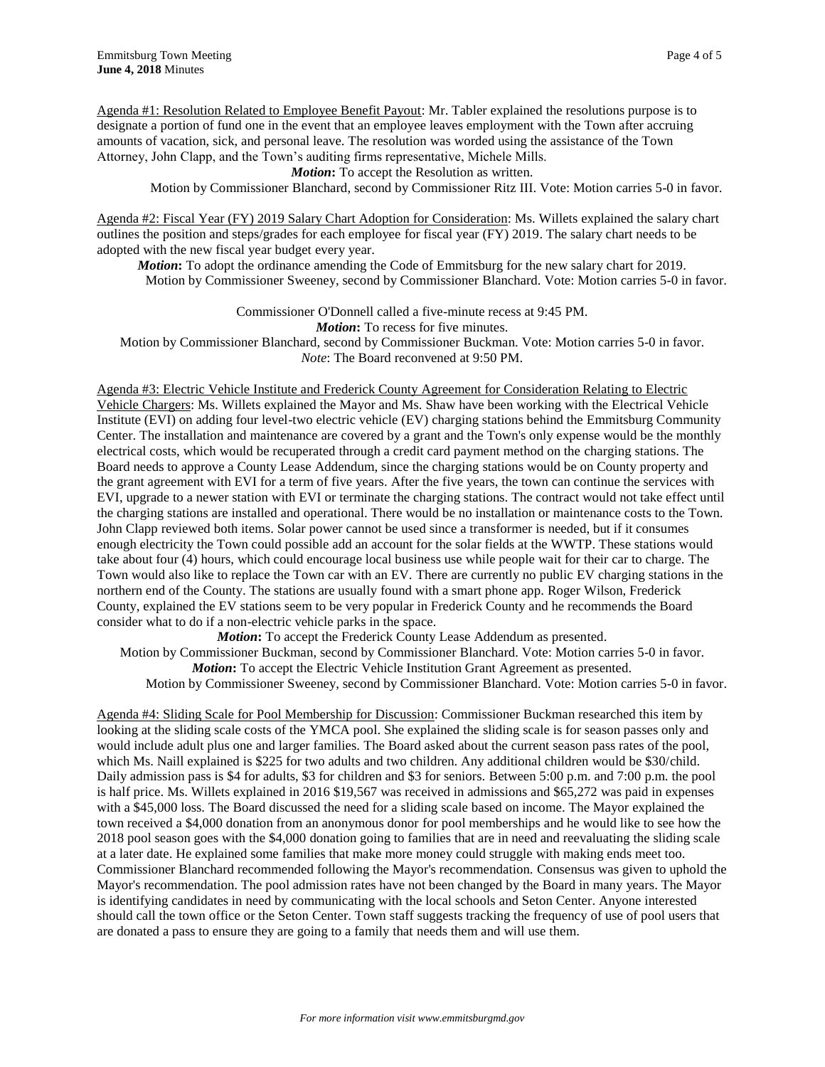Agenda #1: Resolution Related to Employee Benefit Payout: Mr. Tabler explained the resolutions purpose is to designate a portion of fund one in the event that an employee leaves employment with the Town after accruing amounts of vacation, sick, and personal leave. The resolution was worded using the assistance of the Town Attorney, John Clapp, and the Town's auditing firms representative, Michele Mills.

*Motion*: To accept the Resolution as written.

Motion by Commissioner Blanchard, second by Commissioner Ritz III. Vote: Motion carries 5-0 in favor.

Agenda #2: Fiscal Year (FY) 2019 Salary Chart Adoption for Consideration: Ms. Willets explained the salary chart outlines the position and steps/grades for each employee for fiscal year (FY) 2019. The salary chart needs to be adopted with the new fiscal year budget every year.

*Motion***:** To adopt the ordinance amending the Code of Emmitsburg for the new salary chart for 2019. Motion by Commissioner Sweeney, second by Commissioner Blanchard. Vote: Motion carries 5-0 in favor.

Commissioner O'Donnell called a five-minute recess at 9:45 PM.

*Motion***:** To recess for five minutes.

Motion by Commissioner Blanchard, second by Commissioner Buckman. Vote: Motion carries 5-0 in favor. *Note*: The Board reconvened at 9:50 PM.

Agenda #3: Electric Vehicle Institute and Frederick County Agreement for Consideration Relating to Electric Vehicle Chargers: Ms. Willets explained the Mayor and Ms. Shaw have been working with the Electrical Vehicle Institute (EVI) on adding four level-two electric vehicle (EV) charging stations behind the Emmitsburg Community Center. The installation and maintenance are covered by a grant and the Town's only expense would be the monthly electrical costs, which would be recuperated through a credit card payment method on the charging stations. The Board needs to approve a County Lease Addendum, since the charging stations would be on County property and the grant agreement with EVI for a term of five years. After the five years, the town can continue the services with EVI, upgrade to a newer station with EVI or terminate the charging stations. The contract would not take effect until the charging stations are installed and operational. There would be no installation or maintenance costs to the Town. John Clapp reviewed both items. Solar power cannot be used since a transformer is needed, but if it consumes enough electricity the Town could possible add an account for the solar fields at the WWTP. These stations would take about four (4) hours, which could encourage local business use while people wait for their car to charge. The Town would also like to replace the Town car with an EV. There are currently no public EV charging stations in the northern end of the County. The stations are usually found with a smart phone app. Roger Wilson, Frederick County, explained the EV stations seem to be very popular in Frederick County and he recommends the Board consider what to do if a non-electric vehicle parks in the space.

*Motion*: To accept the Frederick County Lease Addendum as presented. Motion by Commissioner Buckman, second by Commissioner Blanchard. Vote: Motion carries 5-0 in favor. *Motion***:** To accept the Electric Vehicle Institution Grant Agreement as presented. Motion by Commissioner Sweeney, second by Commissioner Blanchard. Vote: Motion carries 5-0 in favor.

Agenda #4: Sliding Scale for Pool Membership for Discussion: Commissioner Buckman researched this item by looking at the sliding scale costs of the YMCA pool. She explained the sliding scale is for season passes only and would include adult plus one and larger families. The Board asked about the current season pass rates of the pool, which Ms. Naill explained is \$225 for two adults and two children. Any additional children would be \$30/child. Daily admission pass is \$4 for adults, \$3 for children and \$3 for seniors. Between 5:00 p.m. and 7:00 p.m. the pool is half price. Ms. Willets explained in 2016 \$19,567 was received in admissions and \$65,272 was paid in expenses with a \$45,000 loss. The Board discussed the need for a sliding scale based on income. The Mayor explained the town received a \$4,000 donation from an anonymous donor for pool memberships and he would like to see how the 2018 pool season goes with the \$4,000 donation going to families that are in need and reevaluating the sliding scale at a later date. He explained some families that make more money could struggle with making ends meet too. Commissioner Blanchard recommended following the Mayor's recommendation. Consensus was given to uphold the Mayor's recommendation. The pool admission rates have not been changed by the Board in many years. The Mayor is identifying candidates in need by communicating with the local schools and Seton Center. Anyone interested should call the town office or the Seton Center. Town staff suggests tracking the frequency of use of pool users that are donated a pass to ensure they are going to a family that needs them and will use them.